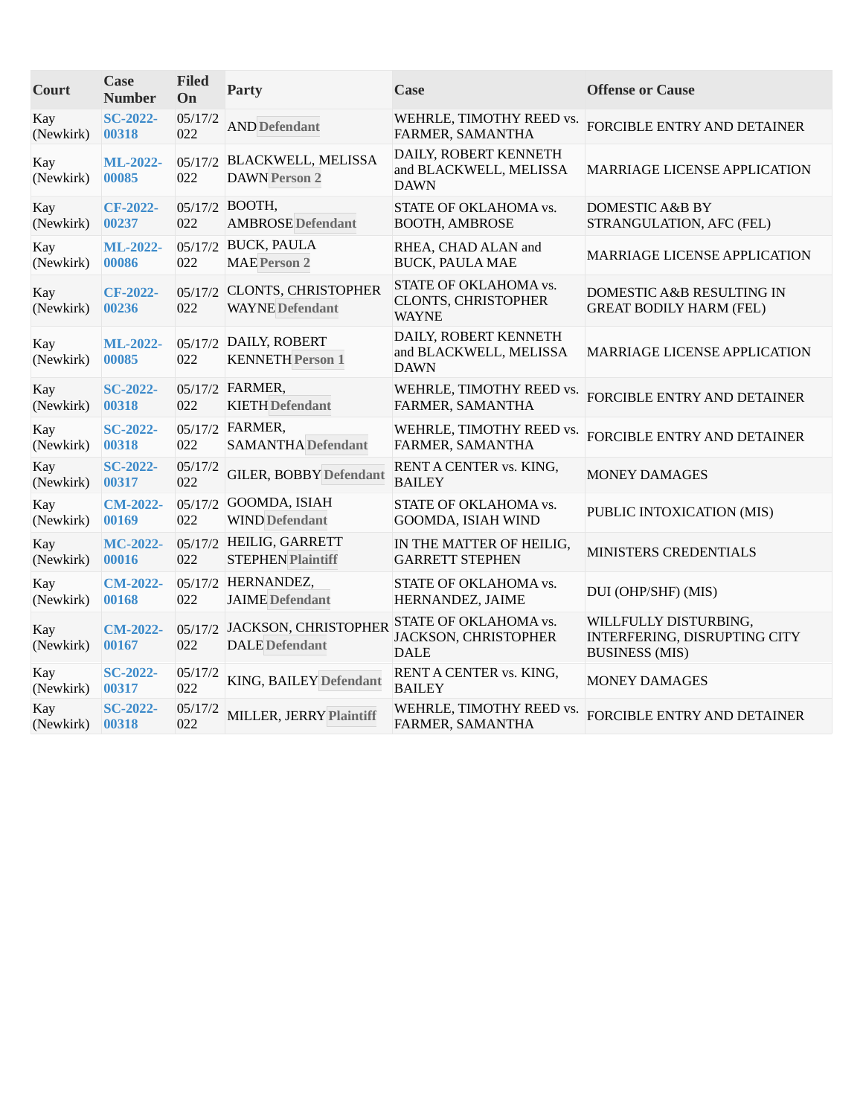| Court            | <b>Case</b><br><b>Number</b> | <b>Filed</b><br>On | <b>Party</b>                                          | Case                                                           | <b>Offense or Cause</b>                                                        |
|------------------|------------------------------|--------------------|-------------------------------------------------------|----------------------------------------------------------------|--------------------------------------------------------------------------------|
| Kay<br>(Newkirk) | <b>SC-2022-</b><br>00318     | 05/17/2<br>022     | <b>AND Defendant</b>                                  | WEHRLE, TIMOTHY REED vs.<br>FARMER, SAMANTHA                   | FORCIBLE ENTRY AND DETAINER                                                    |
| Kay<br>(Newkirk) | <b>ML-2022-</b><br>00085     | 022                | 05/17/2 BLACKWELL, MELISSA<br><b>DAWN Person 2</b>    | DAILY, ROBERT KENNETH<br>and BLACKWELL, MELISSA<br><b>DAWN</b> | MARRIAGE LICENSE APPLICATION                                                   |
| Kay<br>(Newkirk) | <b>CF-2022-</b><br>00237     | 022                | 05/17/2 BOOTH,<br><b>AMBROSE</b> Defendant            | STATE OF OKLAHOMA vs.<br><b>BOOTH, AMBROSE</b>                 | DOMESTIC A&B BY<br>STRANGULATION, AFC (FEL)                                    |
| Kay<br>(Newkirk) | ML-2022-<br>00086            | 022                | 05/17/2 BUCK, PAULA<br><b>MAE Person 2</b>            | RHEA, CHAD ALAN and<br><b>BUCK, PAULA MAE</b>                  | MARRIAGE LICENSE APPLICATION                                                   |
| Kay<br>(Newkirk) | CF-2022-<br>00236            | 022                | 05/17/2 CLONTS, CHRISTOPHER<br><b>WAYNE</b> Defendant | STATE OF OKLAHOMA vs.<br>CLONTS, CHRISTOPHER<br><b>WAYNE</b>   | DOMESTIC A&B RESULTING IN<br><b>GREAT BODILY HARM (FEL)</b>                    |
| Kay<br>(Newkirk) | <b>ML-2022-</b><br>00085     | 022                | 05/17/2 DAILY, ROBERT<br><b>KENNETH Person 1</b>      | DAILY, ROBERT KENNETH<br>and BLACKWELL, MELISSA<br><b>DAWN</b> | MARRIAGE LICENSE APPLICATION                                                   |
| Kay<br>(Newkirk) | <b>SC-2022-</b><br>00318     | 022                | 05/17/2 FARMER,<br><b>KIETH Defendant</b>             | WEHRLE, TIMOTHY REED vs.<br>FARMER, SAMANTHA                   | FORCIBLE ENTRY AND DETAINER                                                    |
| Kay<br>(Newkirk) | <b>SC-2022-</b><br>00318     | 022                | 05/17/2 FARMER,<br><b>SAMANTHA Defendant</b>          | WEHRLE, TIMOTHY REED vs.<br>FARMER, SAMANTHA                   | FORCIBLE ENTRY AND DETAINER                                                    |
| Kay<br>(Newkirk) | <b>SC-2022-</b><br>00317     | 05/17/2<br>022     | <b>GILER, BOBBY Defendant</b>                         | RENT A CENTER vs. KING,<br><b>BAILEY</b>                       | <b>MONEY DAMAGES</b>                                                           |
| Kay<br>(Newkirk) | <b>CM-2022-</b><br>00169     | 022                | 05/17/2 GOOMDA, ISIAH<br><b>WIND Defendant</b>        | STATE OF OKLAHOMA vs.<br>GOOMDA, ISIAH WIND                    | PUBLIC INTOXICATION (MIS)                                                      |
| Kay<br>(Newkirk) | MC-2022-<br>00016            | 022                | 05/17/2 HEILIG, GARRETT<br><b>STEPHEN Plaintiff</b>   | IN THE MATTER OF HEILIG,<br><b>GARRETT STEPHEN</b>             | MINISTERS CREDENTIALS                                                          |
| Kay<br>(Newkirk) | <b>CM-2022-</b><br>00168     | 022                | 05/17/2 HERNANDEZ,<br><b>JAIME</b> Defendant          | STATE OF OKLAHOMA vs.<br>HERNANDEZ, JAIME                      | DUI (OHP/SHF) (MIS)                                                            |
| Kay<br>(Newkirk) | <b>CM-2022-</b><br>00167     | 022                | 05/17/2 JACKSON, CHRISTOPHER<br><b>DALE</b> Defendant | STATE OF OKLAHOMA vs.<br>JACKSON, CHRISTOPHER<br><b>DALE</b>   | WILLFULLY DISTURBING,<br>INTERFERING, DISRUPTING CITY<br><b>BUSINESS (MIS)</b> |
| Kay<br>(Newkirk) | <b>SC-2022-</b><br>00317     | 05/17/2<br>022     | KING, BAILEY Defendant                                | RENT A CENTER vs. KING,<br><b>BAILEY</b>                       | <b>MONEY DAMAGES</b>                                                           |
| Kay<br>(Newkirk) | <b>SC-2022-</b><br>00318     | 05/17/2<br>022     | MILLER, JERRY Plaintiff                               | WEHRLE, TIMOTHY REED vs.<br>FARMER, SAMANTHA                   | FORCIBLE ENTRY AND DETAINER                                                    |